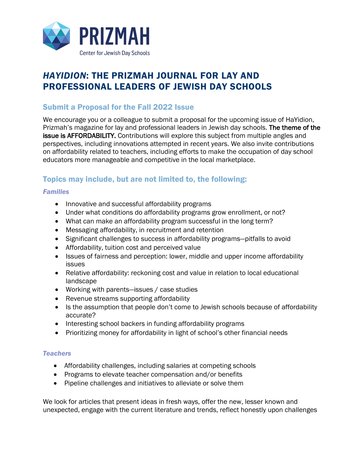

# *HAYIDION*: THE PRIZMAH JOURNAL FOR LAY AND PROFESSIONAL LEADERS OF JEWISH DAY SCHOOLS

### Submit a Proposal for the Fall 2022 Issue

We encourage you or a colleague to submit a proposal for the upcoming issue of HaYidion, Prizmah's magazine for lay and professional leaders in Jewish day schools. The theme of the issue is AFFORDABILITY. Contributions will explore this subject from multiple angles and perspectives, including innovations attempted in recent years. We also invite contributions on affordability related to teachers, including efforts to make the occupation of day school educators more manageable and competitive in the local marketplace.

## Topics may include, but are not limited to, the following:

#### *Families*

- Innovative and successful affordability programs
- Under what conditions do affordability programs grow enrollment, or not?
- What can make an affordability program successful in the long term?
- Messaging affordability, in recruitment and retention
- Significant challenges to success in affordability programs—pitfalls to avoid
- Affordability, tuition cost and perceived value
- Issues of fairness and perception: lower, middle and upper income affordability issues
- Relative affordability: reckoning cost and value in relation to local educational landscape
- Working with parents—issues / case studies
- Revenue streams supporting affordability
- Is the assumption that people don't come to Jewish schools because of affordability accurate?
- Interesting school backers in funding affordability programs
- Prioritizing money for affordability in light of school's other financial needs

#### *Teachers*

- Affordability challenges, including salaries at competing schools
- Programs to elevate teacher compensation and/or benefits
- Pipeline challenges and initiatives to alleviate or solve them

We look for articles that present ideas in fresh ways, offer the new, lesser known and unexpected, engage with the current literature and trends, reflect honestly upon challenges